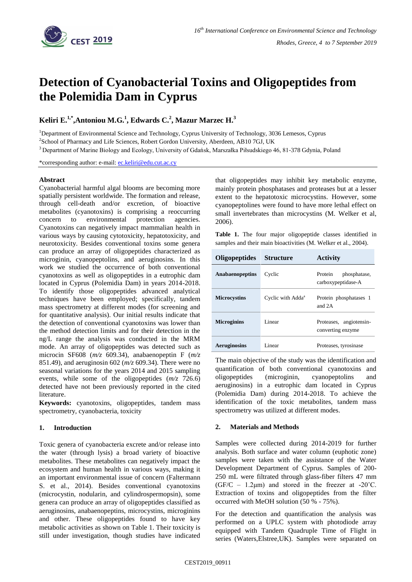

# **Detection of Cyanobacterial Toxins and Oligopeptides from the Polemidia Dam in Cyprus**

**Keliri E.1,\* ,Antoniou M.G.<sup>1</sup> , Edwards C.<sup>2</sup> , Mazur Marzec H.<sup>3</sup>**

<sup>1</sup>Department of Environmental Science and Technology, Cyprus University of Technology, 3036 Lemesos, Cyprus

<sup>2</sup>School of Pharmacy and Life Sciences, Robert Gordon University, Aberdeen, AB10 7GJ, UK

<sup>3</sup> Department of Marine Biology and Ecology, University of Gdańsk, Marszałka Piłsudskiego 46, 81‐378 Gdynia, Poland

\*corresponding author: e-mail: ec.keliri@edu.cut.ac.cy

## **Abstract**

Cyanobacterial harmful algal blooms are becoming more spatially persistent worldwide. The formation and release, through cell-death and/or excretion, of bioactive metabolites (cyanotoxins) is comprising a reoccurring concern to environmental protection agencies. Cyanotoxins can negatively impact mammalian health in various ways by causing cytotoxicity, hepatotoxicity, and neurotoxicity. Besides conventional toxins some genera can produce an array of oligopeptides characterized as microginin, cyanopeptolins, and aeruginosins. In this work we studied the occurrence of both conventional cyanotoxins as well as oligopeptides in a eutrophic dam located in Cyprus (Polemidia Dam) in years 2014-2018. To identify those oligopeptides advanced analytical techniques have been employed; specifically, tandem mass spectrometry at different modes (for screening and for quantitative analysis). Our initial results indicate that the detection of conventional cyanotoxins was lower than the method detection limits and for their detection in the ng/L range the analysis was conducted in the MRM mode. An array of oligopeptides was detected such as microcin SF608 (*m/z* 609.34), anabaenopeptin F (*m/z*  851.49), and aeruginosin 602 (*m/z* 609.34). There were no seasonal variations for the years 2014 and 2015 sampling events, while some of the oligopeptides (*m/z* 726.6) detected have not been previously reported in the cited literature.

**Keywords:** cyanotoxins, oligopeptides, tandem mass spectrometry, cyanobacteria, toxicity

## **1. Introduction**

Toxic genera of cyanobacteria excrete and/or release into the water (through lysis) a broad variety of bioactive metabolites. These metabolites can negatively impact the ecosystem and human health in various ways, making it an important environmental issue of concern (Faltermann S. et al., 2014). Besides conventional cyanotoxins (microcystin, nodularin, and cylindrospermopsin), some genera can produce an array of oligopeptides classified as aeruginosins, anabaenopeptins, microcystins, microginins and other. These oligopeptides found to have key metabolic activities as shown on Table 1. Their toxicity is still under investigation, though studies have indicated that oligopeptides may inhibit key metabolic enzyme, mainly protein phosphatases and proteases but at a lesser extent to the hepatotoxic microcystins. However, some cyanopeptolines were found to have more lethal effect on small invertebrates than microcystins (M. Welker et al, 2006).

**Table 1.** The four major oligopeptide classes identified in samples and their main bioactivities (M. Welker et al., 2004).

| Oligopeptides          | <b>Structure</b>              | <b>Activity</b>                               |
|------------------------|-------------------------------|-----------------------------------------------|
| <b>Anabaenopeptins</b> | Cyclic                        | Protein<br>phosphatase,<br>carboxypeptidase-A |
| <b>Microcystins</b>    | Cyclic with Adda <sup>a</sup> | Protein phosphatases 1<br>and 2.A             |
| <b>Microginins</b>     | Linear                        | Proteases, angiotensin-<br>converting enzyme  |
| <b>Aeruginosins</b>    | Linear                        | Proteases, tyrosinase                         |

The main objective of the study was the identification and quantification of both conventional cyanotoxins and oligopeptides (microginin, cyanopeptolins and aeruginosins) in a eutrophic dam located in Cyprus (Polemidia Dam) during 2014-2018. To achieve the identification of the toxic metabolites, tandem mass spectrometry was utilized at different modes.

### **2. Materials and Methods**

Samples were collected during 2014-2019 for further analysis. Both surface and water column (euphotic zone) samples were taken with the assistance of the Water Development Department of Cyprus. Samples of 200- 250 mL were filtrated through glass-fiber filters 47 mm  $(GF/C - 1.2\mu m)$  and stored in the freezer at -20 $^{\circ}$ C. Extraction of toxins and oligopeptides from the filter occurred with MeOH solution (50 % - 75%).

For the detection and quantification the analysis was performed on a UPLC system with photodiode array equipped with Tandem Quadruple Time of Flight in series (Waters,Elstree,UK). Samples were separated on